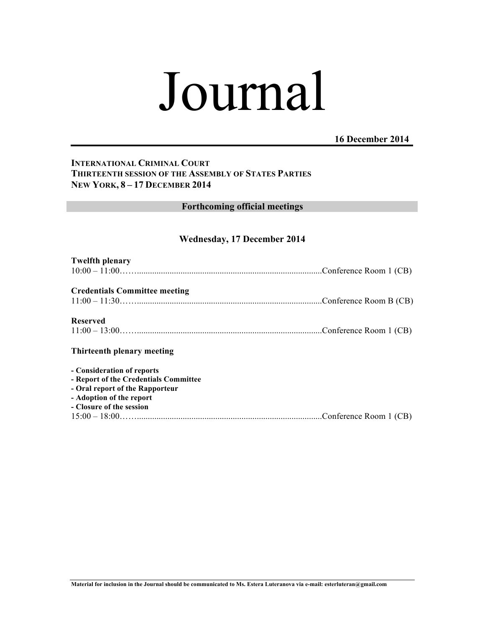# Journal

## **16 December 2014**

## **INTERNATIONAL CRIMINAL COURT THIRTEENTH SESSION OF THE ASSEMBLY OF STATES PARTIES NEW YORK, 8 – 17 DECEMBER 2014**

# **Forthcoming official meetings**

## **Wednesday, 17 December 2014**

| <b>Twelfth plenary</b>                                              |  |
|---------------------------------------------------------------------|--|
|                                                                     |  |
| <b>Credentials Committee meeting</b>                                |  |
|                                                                     |  |
| <b>Reserved</b>                                                     |  |
|                                                                     |  |
|                                                                     |  |
| Thirteenth plenary meeting                                          |  |
|                                                                     |  |
| - Consideration of reports<br>- Report of the Credentials Committee |  |
| - Oral report of the Rapporteur                                     |  |
| - Adoption of the report                                            |  |
| - Closure of the session<br>$15:00-18:00$ (CB)                      |  |